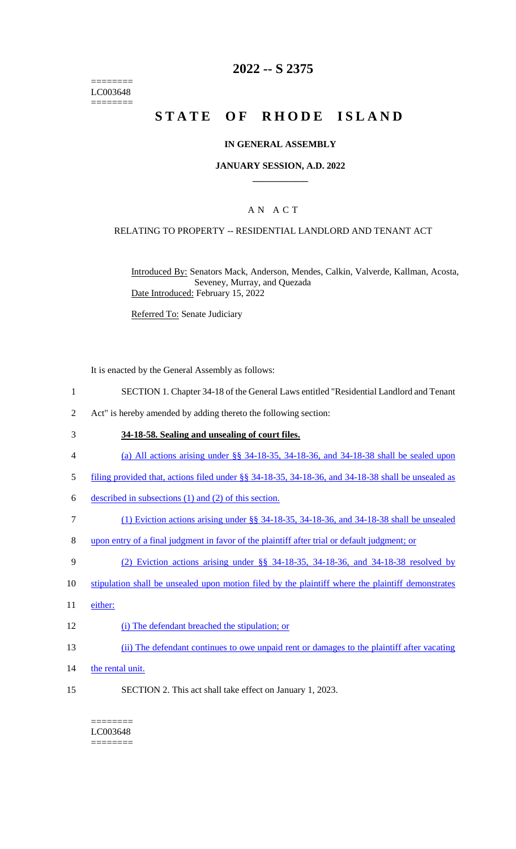======== LC003648 ========

## **2022 -- S 2375**

# **STATE OF RHODE ISLAND**

#### **IN GENERAL ASSEMBLY**

#### **JANUARY SESSION, A.D. 2022 \_\_\_\_\_\_\_\_\_\_\_\_**

### A N A C T

#### RELATING TO PROPERTY -- RESIDENTIAL LANDLORD AND TENANT ACT

Introduced By: Senators Mack, Anderson, Mendes, Calkin, Valverde, Kallman, Acosta, Seveney, Murray, and Quezada Date Introduced: February 15, 2022

Referred To: Senate Judiciary

It is enacted by the General Assembly as follows:

- 1 SECTION 1. Chapter 34-18 of the General Laws entitled "Residential Landlord and Tenant
- 2 Act" is hereby amended by adding thereto the following section:
- 3 **34-18-58. Sealing and unsealing of court files.**
- 4 (a) All actions arising under §§ 34-18-35, 34-18-36, and 34-18-38 shall be sealed upon
- 5 filing provided that, actions filed under §§ 34-18-35, 34-18-36, and 34-18-38 shall be unsealed as
- 6 described in subsections (1) and (2) of this section.
- 7 (1) Eviction actions arising under §§ 34-18-35, 34-18-36, and 34-18-38 shall be unsealed
- 8 upon entry of a final judgment in favor of the plaintiff after trial or default judgment; or
- 9 (2) Eviction actions arising under §§ 34-18-35, 34-18-36, and 34-18-38 resolved by
- 10 stipulation shall be unsealed upon motion filed by the plaintiff where the plaintiff demonstrates
- 11 either:
- 12 (i) The defendant breached the stipulation; or
- 13 (ii) The defendant continues to owe unpaid rent or damages to the plaintiff after vacating
- 14 the rental unit.
- 15 SECTION 2. This act shall take effect on January 1, 2023.

## LC003648

========

========